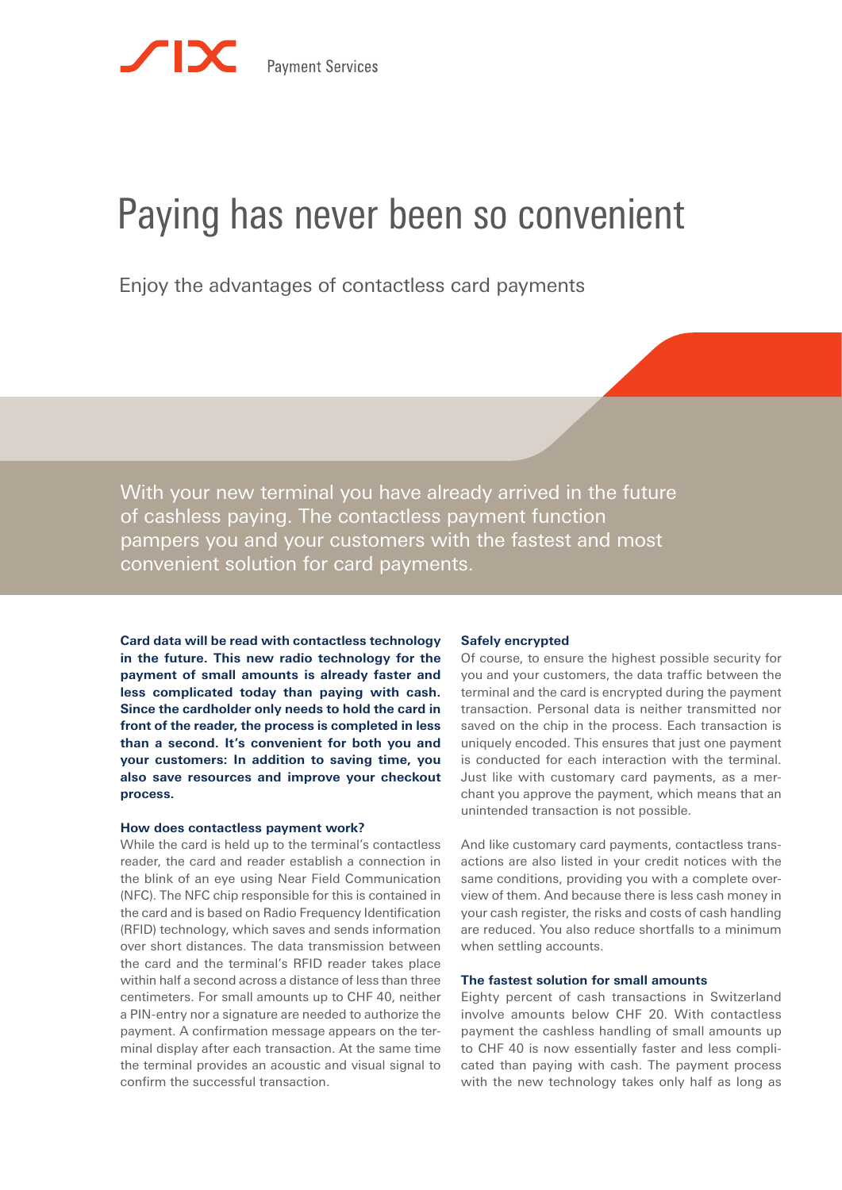# Paying has never been so convenient

Enjoy the advantages of contactless card payments

With your new terminal you have already arrived in the future of cashless paying. The contactless payment function pampers you and your customers with the fastest and most convenient solution for card payments.

**Card data will be read with contactless technology in the future. This new radio technology for the payment of small amounts is already faster and less complicated today than paying with cash. Since the cardholder only needs to hold the card in front of the reader, the process is completed in less than a second. It's convenient for both you and your customers: In addition to saving time, you also save resources and improve your checkout process.**

#### **How does contactless payment work?**

While the card is held up to the terminal's contactless reader, the card and reader establish a connection in the blink of an eye using Near Field Communication (NFC). The NFC chip responsible for this is contained in the card and is based on Radio Frequency Identification (RFID) technology, which saves and sends information over short distances. The data transmission between the card and the terminal's RFID reader takes place within half a second across a distance of less than three centimeters. For small amounts up to CHF 40, neither a PIN-entry nor a signature are needed to authorize the payment. A confirmation message appears on the terminal display after each transaction. At the same time the terminal provides an acoustic and visual signal to confirm the successful transaction.

#### **Safely encrypted**

Of course, to ensure the highest possible security for you and your customers, the data traffic between the terminal and the card is encrypted during the payment transaction. Personal data is neither transmitted nor saved on the chip in the process. Each transaction is uniquely encoded. This ensures that just one payment is conducted for each interaction with the terminal. Just like with customary card payments, as a merchant you approve the payment, which means that an unintended transaction is not possible.

And like customary card payments, contactless transactions are also listed in your credit notices with the same conditions, providing you with a complete overview of them. And because there is less cash money in your cash register, the risks and costs of cash handling are reduced. You also reduce shortfalls to a minimum when settling accounts.

### **The fastest solution for small amounts**

Eighty percent of cash transactions in Switzerland involve amounts below CHF 20. With contactless payment the cashless handling of small amounts up to CHF 40 is now essentially faster and less complicated than paying with cash. The payment process with the new technology takes only half as long as